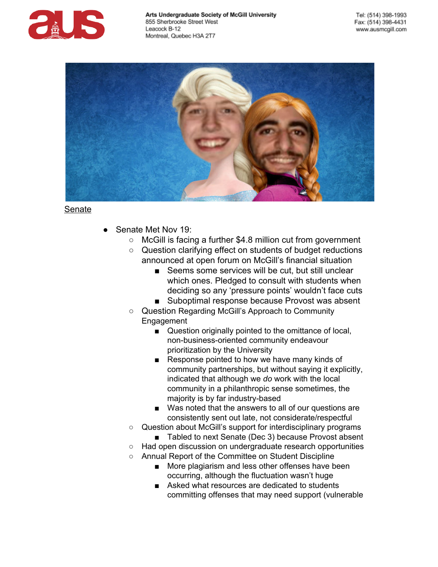



Senate

- Senate Met Nov 19:
	- McGill is facing a further \$4.8 million cut from government
	- Question clarifying effect on students of budget reductions announced at open forum on McGill's financial situation
		- Seems some services will be cut, but still unclear which ones. Pledged to consult with students when deciding so any 'pressure points' wouldn't face cuts
		- Suboptimal response because Provost was absent
	- Question Regarding McGill's Approach to Community Engagement
		- Question originally pointed to the omittance of local, non-business-oriented community endeavour prioritization by the University
		- Response pointed to how we have many kinds of community partnerships, but without saying it explicitly, indicated that although we *do* work with the local community in a philanthropic sense sometimes, the majority is by far industry-based
		- Was noted that the answers to all of our questions are consistently sent out late, not considerate/respectful
	- Question about McGill's support for interdisciplinary programs
		- Tabled to next Senate (Dec 3) because Provost absent
	- Had open discussion on undergraduate research opportunities
	- Annual Report of the Committee on Student Discipline
		- More plagiarism and less other offenses have been occurring, although the fluctuation wasn't huge
		- Asked what resources are dedicated to students committing offenses that may need support (vulnerable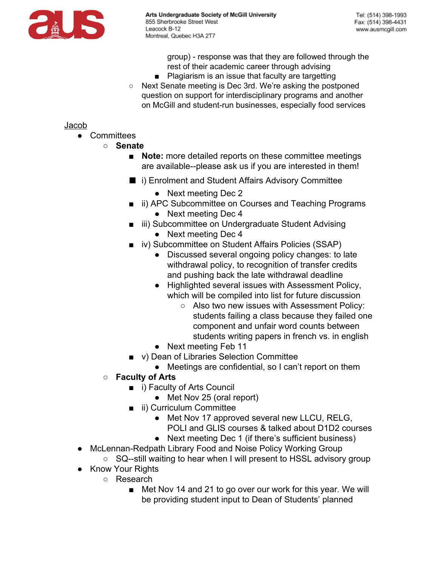

group) - response was that they are followed through the rest of their academic career through advising

- Plagiarism is an issue that faculty are targetting
- Next Senate meeting is Dec 3rd. We're asking the postponed question on support for interdisciplinary programs and another on McGill and student-run businesses, especially food services

## Jacob

- Committees
	- **Senate**
		- **Note:** more detailed reports on these committee meetings are available--please ask us if you are interested in them!
		- i) Enrolment and Student Affairs Advisory Committee
			- Next meeting Dec 2
		- ii) APC Subcommittee on Courses and Teaching Programs • Next meeting Dec 4
		- iii) Subcommittee on Undergraduate Student Advising
			- Next meeting Dec 4
		- iv) Subcommittee on Student Affairs Policies (SSAP)
			- Discussed several ongoing policy changes: to late withdrawal policy, to recognition of transfer credits and pushing back the late withdrawal deadline
			- Highlighted several issues with Assessment Policy, which will be compiled into list for future discussion
				- Also two new issues with Assessment Policy: students failing a class because they failed one component and unfair word counts between students writing papers in french vs. in english
			- Next meeting Feb 11
		- v) Dean of Libraries Selection Committee
			- Meetings are confidential, so I can't report on them
	- **Faculty of Arts**
		- i) Faculty of Arts Council
			- Met Nov 25 (oral report)
			- ii) Curriculum Committee
				- Met Nov 17 approved several new LLCU, RELG, POLI and GLIS courses & talked about D1D2 courses
				- Next meeting Dec 1 (if there's sufficient business)
- McLennan-Redpath Library Food and Noise Policy Working Group
- SQ--still waiting to hear when I will present to HSSL advisory group
- Know Your Rights
	- Research
		- Met Nov 14 and 21 to go over our work for this year. We will be providing student input to Dean of Students' planned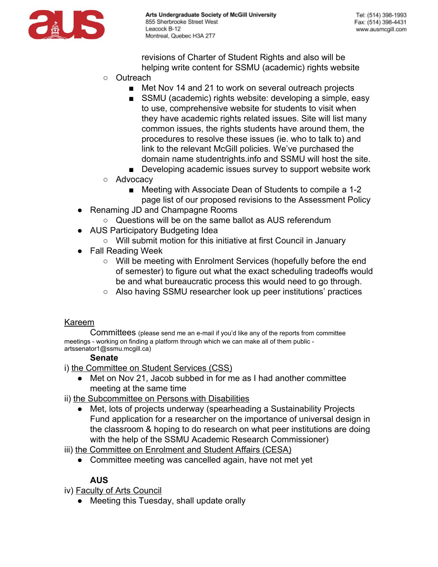

revisions of Charter of Student Rights and also will be helping write content for SSMU (academic) rights website

- Outreach
	- Met Nov 14 and 21 to work on several outreach projects
	- SSMU (academic) rights website: developing a simple, easy to use, comprehensive website for students to visit when they have academic rights related issues. Site will list many common issues, the rights students have around them, the procedures to resolve these issues (ie. who to talk to) and link to the relevant McGill policies. We've purchased the domain name studentrights.info and SSMU will host the site.
	- Developing academic issues survey to support website work
- Advocacy
	- Meeting with Associate Dean of Students to compile a 1-2 page list of our proposed revisions to the Assessment Policy
- Renaming JD and Champagne Rooms
	- Questions will be on the same ballot as AUS referendum
- AUS Participatory Budgeting Idea
	- Will submit motion for this initiative at first Council in January
- Fall Reading Week
	- Will be meeting with Enrolment Services (hopefully before the end of semester) to figure out what the exact scheduling tradeoffs would be and what bureaucratic process this would need to go through.
	- Also having SSMU researcher look up peer institutions' practices

### Kareem

Committees (please send me an e-mail if you'd like any of the reports from committee meetings - working on finding a platform through which we can make all of them public artssenator1@ssmu.mcgill.ca)

#### **Senate**

i) the Committee on Student Services (CSS)

● Met on Nov 21, Jacob subbed in for me as I had another committee meeting at the same time

ii) the Subcommittee on Persons with Disabilities

● Met, lots of projects underway (spearheading a Sustainability Projects Fund application for a researcher on the importance of universal design in the classroom & hoping to do research on what peer institutions are doing with the help of the SSMU Academic Research Commissioner)

iii) the Committee on Enrolment and Student Affairs (CESA)

● Committee meeting was cancelled again, have not met yet

## **AUS**

iv) Faculty of Arts Council

● Meeting this Tuesday, shall update orally